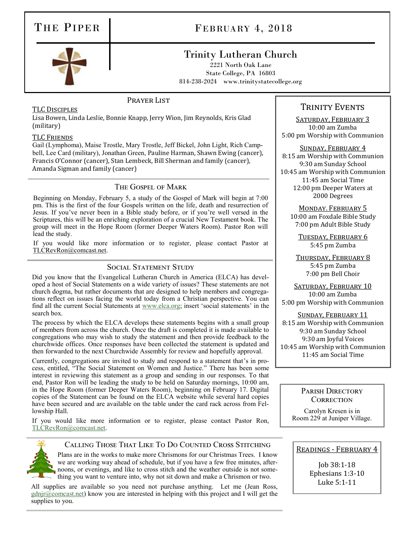# THE PIPER FEBRUARY 4, 2018

# Trinity Lutheran Church

2221 North Oak Lane State College, PA 16803 814-238-2024 www.trinitystatecollege.org



## PRAYER LIST

## TLC Disciples

Lisa Bowen, Linda Leslie, Bonnie Knapp, Jerry Wion, Jim Reynolds, Kris Glad (military)

#### TLC Friends

Gail (Lymphoma), Maise Trostle, Mary Trostle, Jeff Bickel, John Light, Rich Campbell, Lee Card (military), Jonathan Green, Pauline Harman, Shawn Ewing (cancer), Francis O'Connor (cancer), Stan Lembeck, Bill Sherman and family (cancer), Amanda Sigman and family (cancer)

## The Gospel of Mark

Beginning on Monday, February 5, a study of the Gospel of Mark will begin at 7:00 pm. This is the first of the four Gospels written on the life, death and resurrection of Jesus. If you've never been in a Bible study before, or if you're well versed in the Scriptures, this will be an enriching exploration of a crucial New Testament book. The group will meet in the Hope Room (former Deeper Waters Room). Pastor Ron will lead the study.

If you would like more information or to register, please contact Pastor at [TLCRevRon@comcast.net.](mailto:TLCRevRon@comcast.net)

# SOCIAL STATEMENT STUDY

Did you know that the Evangelical Lutheran Church in America (ELCA) has developed a host of Social Statements on a wide variety of issues? These statements are not church dogma, but rather documents that are designed to help members and congregations reflect on issues facing the world today from a Christian perspective. You can find all the current Social Statements at [www.elca.org;](http://www.elca.org) insert 'social statements' in the search box.

The process by which the ELCA develops these statements begins with a small group of members from across the church. Once the draft is completed it is made available to congregations who may wish to study the statement and then provide feedback to the churchwide offices. Once responses have been collected the statement is updated and then forwarded to the next Churchwide Assembly for review and hopefully approval.

Currently, congregations are invited to study and respond to a statement that's in process, entitled, "The Social Statement on Women and Justice." There has been some interest in reviewing this statement as a group and sending in our responses. To that end, Pastor Ron will be leading the study to be held on Saturday mornings, 10:00 am, in the Hope Room (former Deeper Waters Room), beginning on February 17. Digital copies of the Statement can be found on the ELCA website while several hard copies have been secured and are available on the table under the card rack across from Fellowship Hall.

If you would like more information or to register, please contact Pastor Ron, [TLCRevRon@comcast.net.](mailto:TLCRevRon@comcas.net)



## Calling Those That Like To Do Counted Cross Stitching

Plans are in the works to make more Chrismons for our Christmas Trees. I know we are working way ahead of schedule, but if you have a few free minutes, afternoons, or evenings, and like to cross stitch and the weather outside is not something you want to venture into, why not sit down and make a Chrismon or two.

All supplies are available so you need not purchase anything. Let me (Jean Ross, [gdnjr@comcast.net\)](mailto:gdnjr@comcast.net) know you are interested in helping with this project and I will get the supplies to you.

# TRINITY EVENTS

SATURDAY, FEBRUARY 3 10:00 am Zumba 5:00 pm Worship with Communion

#### Sunday, February 4

8:15 am Worship with Communion 9:30 am Sunday School 10:45 am Worship with Communion 11:45 am Social Time 12:00 pm Deeper Waters at 2000 Degrees

# Monday. February 5

10:00 am Foxdale Bible Study 7:00 pm Adult Bible Study

Tuesday, February 6 5:45 pm Zumba

Thursday, February 8 5:45 pm Zumba 7:00 pm Bell Choir

SATURDAY, FEBRUARY 10 10:00 am Zumba 5:00 pm Worship with Communion

Sunday, February 11 8:15 am Worship with Communion 9:30 am Sunday School 9:30 am Joyful Voices 10:45 am Worship with Communion 11:45 am Social Time

#### PARISH DIRECTORY **CORRECTION**

Carolyn Kresen is in Room 229 at Juniper Village.

## Readings - February 4

Job 38:1-18 Ephesians 1:3-10 Luke 5:1-11